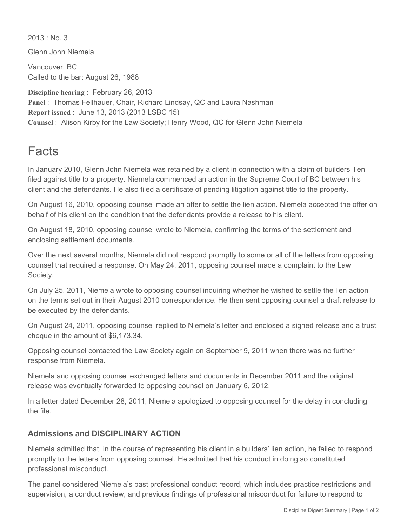$2013 \cdot$  No. 3

Glenn John Niemela

Vancouver, BC Called to the bar: August 26, 1988

**Discipline hearing** : February 26, 2013 **Panel** : Thomas Fellhauer, Chair, Richard Lindsay, QC and Laura Nashman **Report issued** : June 13, 2013 (2013 LSBC 15) **Counsel** : Alison Kirby for the Law Society; Henry Wood, QC for Glenn John Niemela

## Facts

In January 2010, Glenn John Niemela was retained by a client in connection with a claim of builders' lien filed against title to a property. Niemela commenced an action in the Supreme Court of BC between his client and the defendants. He also filed a certificate of pending litigation against title to the property.

On August 16, 2010, opposing counsel made an offer to settle the lien action. Niemela accepted the offer on behalf of his client on the condition that the defendants provide a release to his client.

On August 18, 2010, opposing counsel wrote to Niemela, confirming the terms of the settlement and enclosing settlement documents.

Over the next several months, Niemela did not respond promptly to some or all of the letters from opposing counsel that required a response. On May 24, 2011, opposing counsel made a complaint to the Law Society.

On July 25, 2011, Niemela wrote to opposing counsel inquiring whether he wished to settle the lien action on the terms set out in their August 2010 correspondence. He then sent opposing counsel a draft release to be executed by the defendants.

On August 24, 2011, opposing counsel replied to Niemela's letter and enclosed a signed release and a trust cheque in the amount of \$6,173.34.

Opposing counsel contacted the Law Society again on September 9, 2011 when there was no further response from Niemela.

Niemela and opposing counsel exchanged letters and documents in December 2011 and the original release was eventually forwarded to opposing counsel on January 6, 2012.

In a letter dated December 28, 2011, Niemela apologized to opposing counsel for the delay in concluding the file.

## **Admissions and DISCIPLINARY ACTION**

Niemela admitted that, in the course of representing his client in a builders' lien action, he failed to respond promptly to the letters from opposing counsel. He admitted that his conduct in doing so constituted professional misconduct.

The panel considered Niemela's past professional conduct record, which includes practice restrictions and supervision, a conduct review, and previous findings of professional misconduct for failure to respond to